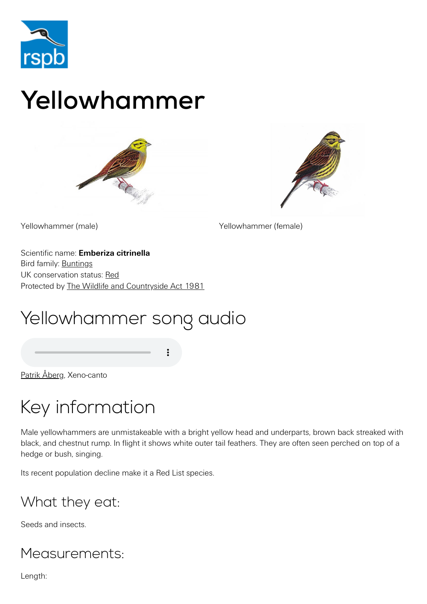

# Yellowhammer





Yellowhammer (male) Yellowhammer (female)

Scientific name: **Emberiza citrinella** Bird family: [Buntings](https://www.rspb.org.uk/birds-and-wildlife/wildlife-guides/bird-a-z/bunting-family/) UK conservation status: [Red](https://www.rspb.org.uk/birds-and-wildlife/wildlife-guides/uk-conservation-status-explained/) Protected by [The Wildlife and Countryside Act 1981](https://www.rspb.org.uk/birds-and-wildlife/advice/wildlife-and-the-law/wildlife-and-countryside-act/)

# Yellowhammer song audio

[Patrik Åberg,](http://www.xeno-canto.org/27577) Xeno-canto

# Key information

Male yellowhammers are unmistakeable with a bright yellow head and underparts, brown back streaked with black, and chestnut rump. In flight it shows white outer tail feathers. They are often seen perched on top of a hedge or bush, singing.

Its recent population decline make it a Red List species.

### What they eat:

Seeds and insects.

### Measurements:

Length: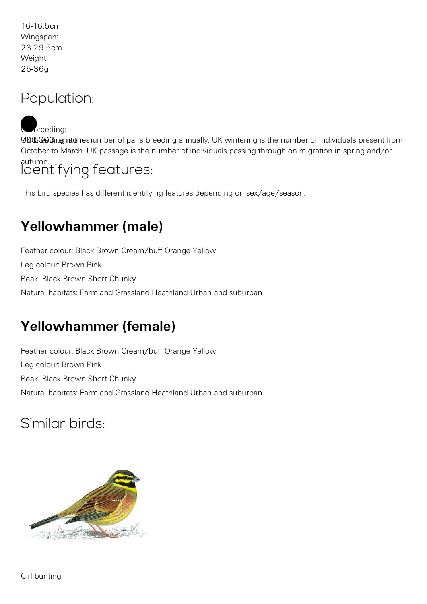16-16.5cm Wingspan: 23-29.5cm Weight: 25-36g

#### Population:

UCO.co of interiture of pairs breeding annually. UK wintering is the number of individuals present from October to March. UK passage is the number of individuals passing through on migration in spring and/or  $b$  reeding:

autumn. Identifying features:

This bird species has different identifying features depending on sex/age/season.

### **Yellowhammer (male)**

Feather colour: Black Brown Cream/buff Orange Yellow Leg colour: Brown Pink Beak: Black Brown Short Chunky Natural habitats: Farmland Grassland Heathland Urban and suburban

### **Yellowhammer (female)**

Feather colour: Black Brown Cream/buff Orange Yellow Leg colour: Brown Pink Beak: Black Brown Short Chunky Natural habitats: Farmland Grassland Heathland Urban and suburban

### Similar birds: